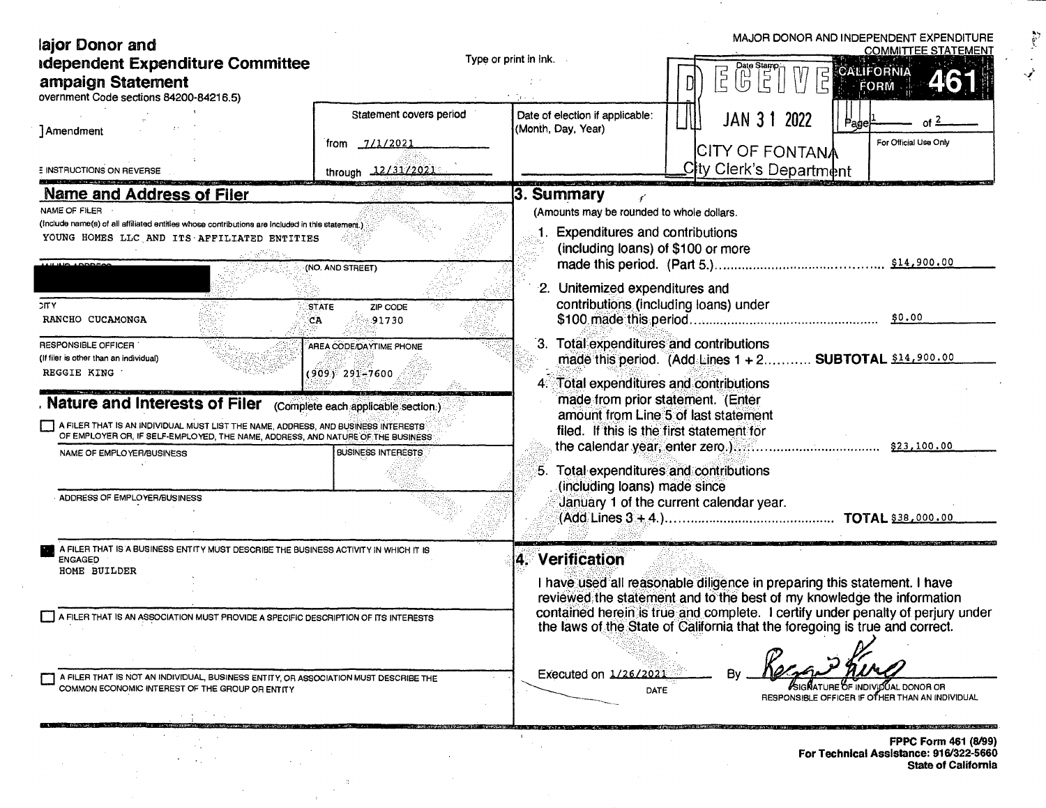| lajor Donor and<br><b>Idependent Expenditure Committee</b><br>ampaign Statement<br>overnment Code sections 84200-84216.5)                                                                                                                                                                                                                                                                                                                                                                                                                                                                                                                                     | Type or print in ink.                                                                                                           |                                                                                                                                                                                                                                                                                                                                                                                                                                                               | MAJOR DONOR AND INDEPENDENT EXPENDITURE<br><b>COMMITTEE STATEMENT</b><br>$\begin{bmatrix} 1 & \frac{1}{2} & \frac{1}{2} \\ \frac{1}{2} & \frac{1}{2} & \frac{1}{2} \\ \frac{1}{2} & \frac{1}{2} & \frac{1}{2} \end{bmatrix}$<br>CALIFORNIA<br>$\overline{5}$<br>FORM |  |  |
|---------------------------------------------------------------------------------------------------------------------------------------------------------------------------------------------------------------------------------------------------------------------------------------------------------------------------------------------------------------------------------------------------------------------------------------------------------------------------------------------------------------------------------------------------------------------------------------------------------------------------------------------------------------|---------------------------------------------------------------------------------------------------------------------------------|---------------------------------------------------------------------------------------------------------------------------------------------------------------------------------------------------------------------------------------------------------------------------------------------------------------------------------------------------------------------------------------------------------------------------------------------------------------|----------------------------------------------------------------------------------------------------------------------------------------------------------------------------------------------------------------------------------------------------------------------|--|--|
| Amendment<br><b>E INSTRUCTIONS ON REVERSE</b>                                                                                                                                                                                                                                                                                                                                                                                                                                                                                                                                                                                                                 | Statement covers period<br>7/1/2021<br>trom<br>through 12/31/2021                                                               | Date of election if applicable:<br>(Month, Day, Year)                                                                                                                                                                                                                                                                                                                                                                                                         | JAN 3 1 2022<br>For Official Use Only<br><b>CITY OF FONTANA</b><br>City Clerk's Department                                                                                                                                                                           |  |  |
| <b>Name and Address of Filer</b><br>NAME OF FILER<br>(include name(s) of all affiliated entities whose contributions are included in this statement.)<br>YOUNG HOMES LLC AND ITS AFFILIATED ENTITIES<br><b>UNO ADDRESS</b><br><b>DITY</b><br>RANCHO CUCAMONGA<br>CA<br>RESPONSIBLE OFFICER<br>(If filer is other than an individual)<br>REGGIE KING<br>Nature and Interests of Filer (complete each applicable section.)<br>A FILER THAT IS AN INDIVIDUAL MUST LIST THE NAME, ADDRESS, AND BUSINESS INTERESTS<br>OF EMPLOYER OR, IF SELF-EMPLOYED, THE NAME, ADDRESS, AND NATURE OF THE BUSINESS<br>NAME OF EMPLOYER/BUSINESS<br>ADDRESS OF EMPLOYER/BUSINESS | (NO. AND STREET)<br><b>STATE</b><br>ZIP CODE<br>91730<br>AREA CODE/DAYTIME PHONE<br>(909) 291–7600<br><b>BUSINESS INTERESTS</b> | 3. Summary<br>(Amounts may be rounded to whole dollars.<br>1. Expenditures and contributions<br>(including loans) of \$100 or more<br>2. Unitemized expenditures and<br>contributions (including loans) under<br>3. Total expenditures and contributions<br>Total expenditures and contributions<br>made from prior statement. (Enter<br>filed. If this is the first statement for<br>5. Total expenditures and contributions<br>(including loans) made since | \$14,900.00<br>\$0.00<br>made this period. (Add Lines 1 + 2 SUBTOTAL \$14,900.00<br>amount from Line 5 of last statement<br>January 1 of the current calendar year.                                                                                                  |  |  |
| A FILER THAT IS A BUSINESS ENTITY MUST DESCRIBE THE BUSINESS ACTIVITY IN WHICH IT IS<br><b>ENGAGED</b><br>HOME BUILDER<br>A FILER THAT IS AN ASSOCIATION MUST PROVIDE A SPECIFIC DESCRIPTION OF ITS INTERESTS<br>A FILER THAT IS NOT AN INDIVIDUAL, BUSINESS ENTITY, OR ASSOCIATION MUST DESCRIBE THE<br>COMMON ECONOMIC INTEREST OF THE GROUP OR ENTITY                                                                                                                                                                                                                                                                                                      |                                                                                                                                 | 4. Verification<br>I have used all reasonable diligence in preparing this statement. I have<br>reviewed the statement and to the best of my knowledge the information<br>contained herein is true and complete. I certify under penalty of periury under<br>the laws of the State of California that the foregoing is true and correct.<br>Executed on 1/26/2021<br>JÚAL DONOR OR<br>DATE<br>RESPONSIBLE OFFICER IF OTHER THAN AN INDIVIDUAL                  |                                                                                                                                                                                                                                                                      |  |  |
|                                                                                                                                                                                                                                                                                                                                                                                                                                                                                                                                                                                                                                                               |                                                                                                                                 |                                                                                                                                                                                                                                                                                                                                                                                                                                                               | FPPC Form 461 (8/99)<br><b>Ear Tochnical Accistance: 916/322-5660</b>                                                                                                                                                                                                |  |  |

 $\bar{a}$ 

 $\sim$ 

 $\alpha$ 

 $\mathcal{A}$ 

 $\sim$  .

 $\sim$   $\sim$ 

FPPC Form 461 (8/99)<br>For Technical Assistance: 916/322-5660<br>State of California

 $-$ 

 $\hat{\boldsymbol{\lambda}}$